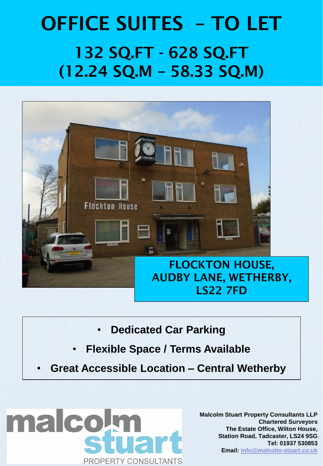# OFFICE SUITES – TO LET 132 SQ.FT - 628 SQ.FT (12.24 SQ.M – 58.33 SQ.M)



- **Dedicated Car Parking**
- **Flexible Space / Terms Available**
- **Great Accessible Location – Central Wetherby**



**Malcolm Stuart Property Consultants LLP Chartered Surveyors The Estate Office, Wilton House, Station Road, Tadcaster, LS24 9SG Tel: 01937 530853 Email: [info@malcolm-stuart.co.uk](mailto:info@malcolm-stuart.co.uk)**